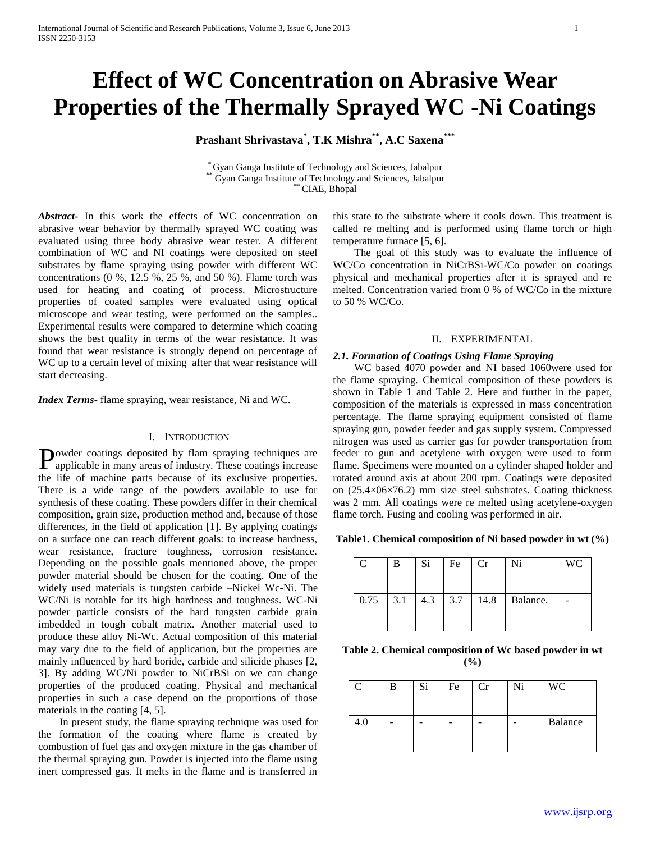# **Effect of WC Concentration on Abrasive Wear Properties of the Thermally Sprayed WC -Ni Coatings**

**Prashant Shrivastava\* , T.K Mishra\*\* , A.C Saxena\*\*\***

\* Gyan Ganga Institute of Technology and Sciences, Jabalpur \*\* Gyan Ganga Institute of Technology and Sciences, Jabalpur \*\* CIAE, Bhopal

*Abstract***-** In this work the effects of WC concentration on abrasive wear behavior by thermally sprayed WC coating was evaluated using three body abrasive wear tester. A different combination of WC and NI coatings were deposited on steel substrates by flame spraying using powder with different WC concentrations  $(0, 9, 12.5, 9, 25, 9, 4, 50, 6)$ . Flame torch was used for heating and coating of process. Microstructure properties of coated samples were evaluated using optical microscope and wear testing, were performed on the samples.. Experimental results were compared to determine which coating shows the best quality in terms of the wear resistance. It was found that wear resistance is strongly depend on percentage of WC up to a certain level of mixing after that wear resistance will start decreasing.

*Index Terms*- flame spraying, wear resistance, Ni and WC.

#### I. INTRODUCTION

owder coatings deposited by flam spraying techniques are Powder coatings deposited by flam spraying techniques are applicable in many areas of industry. These coatings increase the life of machine parts because of its exclusive properties. There is a wide range of the powders available to use for synthesis of these coating. These powders differ in their chemical composition, grain size, production method and, because of those differences, in the field of application [1]. By applying coatings on a surface one can reach different goals: to increase hardness, wear resistance, fracture toughness, corrosion resistance. Depending on the possible goals mentioned above, the proper powder material should be chosen for the coating. One of the widely used materials is tungsten carbide –Nickel Wc-Ni. The WC/Ni is notable for its high hardness and toughness. WC-Ni powder particle consists of the hard tungsten carbide grain imbedded in tough cobalt matrix. Another material used to produce these alloy Ni-Wc. Actual composition of this material may vary due to the field of application, but the properties are mainly influenced by hard boride, carbide and silicide phases [2, 3]. By adding WC/Ni powder to NiCrBSi on we can change properties of the produced coating. Physical and mechanical properties in such a case depend on the proportions of those materials in the coating [4, 5].

 In present study, the flame spraying technique was used for the formation of the coating where flame is created by combustion of fuel gas and oxygen mixture in the gas chamber of the thermal spraying gun. Powder is injected into the flame using inert compressed gas. It melts in the flame and is transferred in

this state to the substrate where it cools down. This treatment is called re melting and is performed using flame torch or high temperature furnace [5, 6].

 The goal of this study was to evaluate the influence of WC/Co concentration in NiCrBSi-WC/Co powder on coatings physical and mechanical properties after it is sprayed and re melted. Concentration varied from 0 % of WC/Co in the mixture to 50 % WC/Co.

# II. EXPERIMENTAL

#### *2.1. Formation of Coatings Using Flame Spraying*

 WC based 4070 powder and NI based 1060were used for the flame spraying*.* Chemical composition of these powders is shown in Table 1 and Table 2. Here and further in the paper, composition of the materials is expressed in mass concentration percentage. The flame spraying equipment consisted of flame spraying gun, powder feeder and gas supply system. Compressed nitrogen was used as carrier gas for powder transportation from feeder to gun and acetylene with oxygen were used to form flame. Specimens were mounted on a cylinder shaped holder and rotated around axis at about 200 rpm. Coatings were deposited on (25.4×06×76.2) mm size steel substrates. Coating thickness was 2 mm. All coatings were re melted using acetylene-oxygen flame torch. Fusing and cooling was performed in air.

**Table1. Chemical composition of Ni based powder in wt (%)**

| C          | В | Si.       | Fe | Cr   | Ni       | WC |
|------------|---|-----------|----|------|----------|----|
| $0.75$ 3.1 |   | $4.3$ 3.7 |    | 14.8 | Balance. |    |

**Table 2. Chemical composition of Wc based powder in wt (%)**

|     | Si | Fe | Cr | Ni | <b>WC</b> |
|-----|----|----|----|----|-----------|
| 4.O |    |    |    |    | Balance   |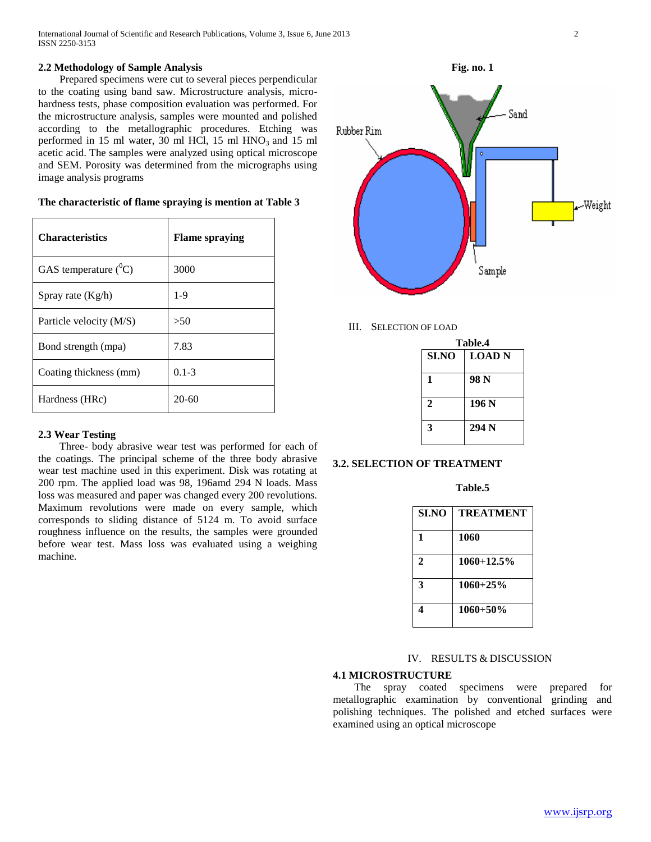International Journal of Scientific and Research Publications, Volume 3, Issue 6, June 2013 2 ISSN 2250-3153

# **2.2 Methodology of Sample Analysis**

 Prepared specimens were cut to several pieces perpendicular to the coating using band saw. Microstructure analysis, microhardness tests, phase composition evaluation was performed. For the microstructure analysis, samples were mounted and polished according to the metallographic procedures. Etching was performed in 15 ml water, 30 ml HCl, 15 ml  $HNO<sub>3</sub>$  and 15 ml acetic acid. The samples were analyzed using optical microscope and SEM. Porosity was determined from the micrographs using image analysis programs

| <b>Characteristics</b>  | <b>Flame spraying</b> |
|-------------------------|-----------------------|
| GAS temperature $(^0C)$ | 3000                  |
| Spray rate $(Kg/h)$     | $1-9$                 |
| Particle velocity (M/S) | >50                   |
| Bond strength (mpa)     | 7.83                  |
| Coating thickness (mm)  | $0.1 - 3$             |
| Hardness (HRc)          | $20-60$               |

# **The characteristic of flame spraying is mention at Table 3**

# **2.3 Wear Testing**

 Three- body abrasive wear test was performed for each of the coatings. The principal scheme of the three body abrasive wear test machine used in this experiment. Disk was rotating at 200 rpm. The applied load was 98, 196amd 294 N loads. Mass loss was measured and paper was changed every 200 revolutions. Maximum revolutions were made on every sample, which corresponds to sliding distance of 5124 m. To avoid surface roughness influence on the results, the samples were grounded before wear test. Mass loss was evaluated using a weighing machine.

**Fig. no. 1**



# III. SELECTION OF LOAD

| Table.4      |               |  |
|--------------|---------------|--|
| <b>SI.NO</b> | <b>LOAD N</b> |  |
| 1            | 98 N          |  |
| $\mathbf{2}$ | 196 N         |  |
| 3            | 294 N         |  |

#### **3.2. SELECTION OF TREATMENT**

#### **Table.5**

| <b>SI.NO</b> | <b>TREATMENT</b> |
|--------------|------------------|
| 1            | 1060             |
| 2            | $1060 + 12.5\%$  |
| 3            | $1060 + 25\%$    |
| 4            | $1060 + 50\%$    |

# IV. RESULTS & DISCUSSION

# **4.1 MICROSTRUCTURE**

 The spray coated specimens were prepared for metallographic examination by conventional grinding and polishing techniques. The polished and etched surfaces were examined using an optical microscope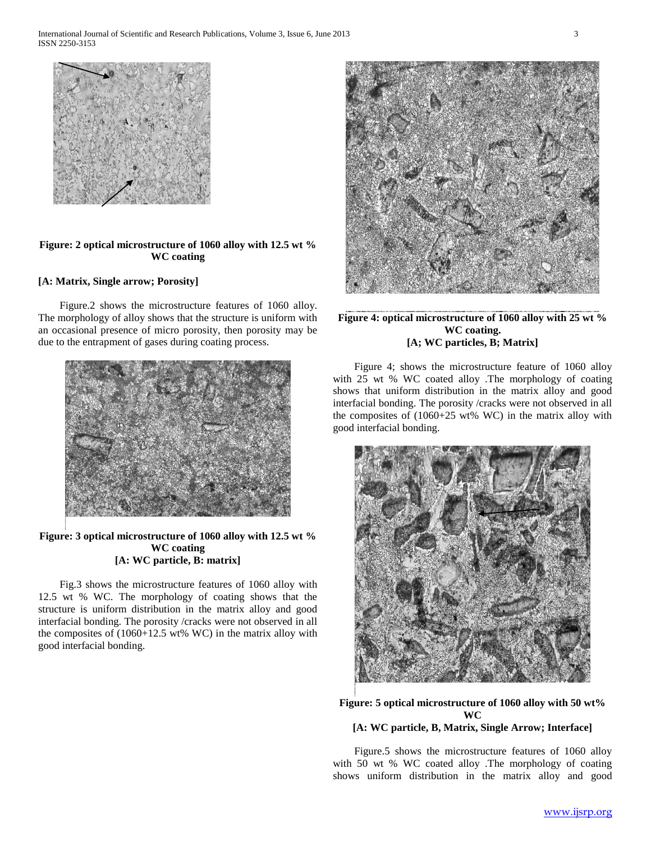

# **Figure: 2 optical microstructure of 1060 alloy with 12.5 wt % WC coating**

# **[A: Matrix, Single arrow; Porosity]**

 Figure.2 shows the microstructure features of 1060 alloy. The morphology of alloy shows that the structure is uniform with an occasional presence of micro porosity, then porosity may be due to the entrapment of gases during coating process.



# **Figure: 3 optical microstructure of 1060 alloy with 12.5 wt % WC coating [A: WC particle, B: matrix]**

 Fig.3 shows the microstructure features of 1060 alloy with 12.5 wt % WC. The morphology of coating shows that the structure is uniform distribution in the matrix alloy and good interfacial bonding. The porosity /cracks were not observed in all the composites of  $(1060+12.5 \text{ wt\% W})$  in the matrix alloy with good interfacial bonding.



# **Figure 4: optical microstructure of 1060 alloy with 25 wt % WC coating. [A; WC particles, B; Matrix]**

 Figure 4; shows the microstructure feature of 1060 alloy with 25 wt % WC coated alloy .The morphology of coating shows that uniform distribution in the matrix alloy and good interfacial bonding. The porosity /cracks were not observed in all the composites of (1060+25 wt% WC) in the matrix alloy with good interfacial bonding.



# **Figure: 5 optical microstructure of 1060 alloy with 50 wt% WC [A: WC particle, B, Matrix, Single Arrow; Interface]**

Figure.5 shows the microstructure features of 1060 alloy

with 50 wt % WC coated alloy .The morphology of coating shows uniform distribution in the matrix alloy and good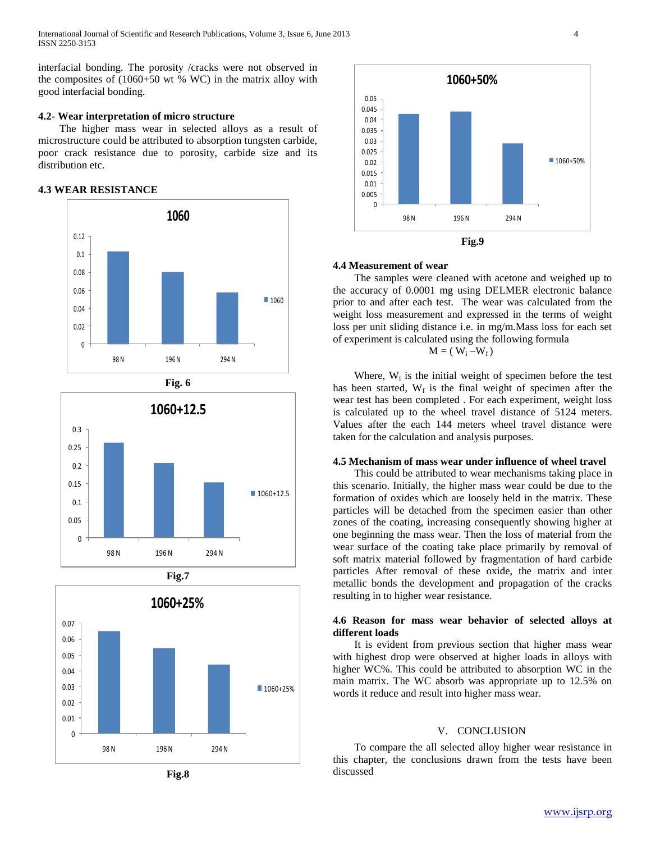International Journal of Scientific and Research Publications, Volume 3, Issue 6, June 2013 4 ISSN 2250-3153

interfacial bonding. The porosity /cracks were not observed in the composites of (1060+50 wt % WC) in the matrix alloy with good interfacial bonding.

## **4.2- Wear interpretation of micro structure**

 The higher mass wear in selected alloys as a result of microstructure could be attributed to absorption tungsten carbide, poor crack resistance due to porosity, carbide size and its distribution etc.

# **4.3 WEAR RESISTANCE**











#### **4.4 Measurement of wear**

 The samples were cleaned with acetone and weighed up to the accuracy of 0.0001 mg using DELMER electronic balance prior to and after each test. The wear was calculated from the weight loss measurement and expressed in the terms of weight loss per unit sliding distance i.e. in mg/m.Mass loss for each set of experiment is calculated using the following formula

$$
M = (W_i - W_f)
$$

Where,  $W_i$  is the initial weight of specimen before the test has been started,  $W_f$  is the final weight of specimen after the wear test has been completed . For each experiment, weight loss is calculated up to the wheel travel distance of 5124 meters. Values after the each 144 meters wheel travel distance were taken for the calculation and analysis purposes.

#### **4.5 Mechanism of mass wear under influence of wheel travel**

 This could be attributed to wear mechanisms taking place in this scenario. Initially, the higher mass wear could be due to the formation of oxides which are loosely held in the matrix. These particles will be detached from the specimen easier than other zones of the coating, increasing consequently showing higher at one beginning the mass wear. Then the loss of material from the wear surface of the coating take place primarily by removal of soft matrix material followed by fragmentation of hard carbide particles After removal of these oxide, the matrix and inter metallic bonds the development and propagation of the cracks resulting in to higher wear resistance.

# **4.6 Reason for mass wear behavior of selected alloys at different loads**

 It is evident from previous section that higher mass wear with highest drop were observed at higher loads in alloys with higher WC%. This could be attributed to absorption WC in the main matrix. The WC absorb was appropriate up to 12.5% on words it reduce and result into higher mass wear.

# V. CONCLUSION

 To compare the all selected alloy higher wear resistance in this chapter, the conclusions drawn from the tests have been discussed